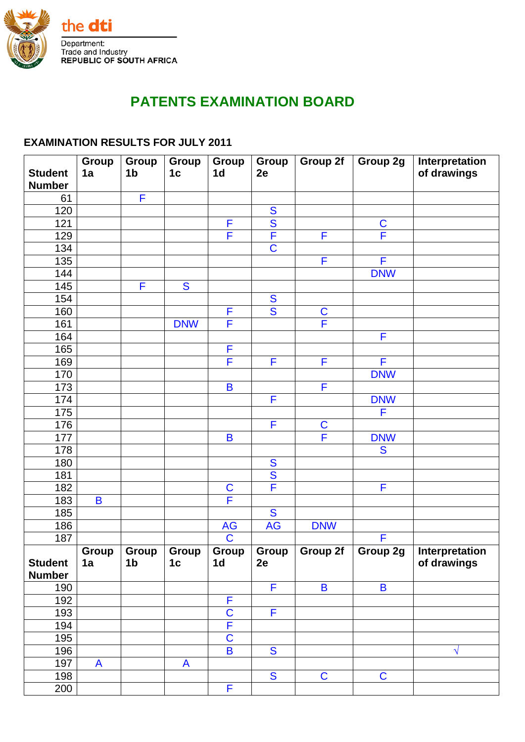

## **PATENTS EXAMINATION BOARD**

## **EXAMINATION RESULTS FOR JULY 2011**

|                                 | Group        | Group          | Group                   | Group                   | Group                   | Group 2f                | Group 2g                            | Interpretation |
|---------------------------------|--------------|----------------|-------------------------|-------------------------|-------------------------|-------------------------|-------------------------------------|----------------|
| <b>Student</b><br><b>Number</b> | 1a           | 1 <sub>b</sub> | 1 <sub>c</sub>          | 1 <sub>d</sub>          | 2e                      |                         |                                     | of drawings    |
| 61                              |              | F              |                         |                         |                         |                         |                                     |                |
| 120                             |              |                |                         |                         | S                       |                         |                                     |                |
| 121                             |              |                |                         | F                       | $\overline{\mathbf{S}}$ |                         |                                     |                |
| 129                             |              |                |                         | F                       | F                       | F                       | $\frac{\overline{C}}{\overline{F}}$ |                |
| 134                             |              |                |                         |                         | $\overline{\text{C}}$   |                         |                                     |                |
| 135                             |              |                |                         |                         |                         | F                       | F                                   |                |
| 144                             |              |                |                         |                         |                         |                         | <b>DNW</b>                          |                |
| 145                             |              | F              | $\overline{\mathbf{S}}$ |                         |                         |                         |                                     |                |
| 154                             |              |                |                         |                         | S                       |                         |                                     |                |
| 160                             |              |                |                         | F                       | S                       | $\mathbf C$             |                                     |                |
| 161                             |              |                | <b>DNW</b>              | F                       |                         | F                       |                                     |                |
| 164                             |              |                |                         |                         |                         |                         | F                                   |                |
| 165                             |              |                |                         | F                       |                         |                         |                                     |                |
| 169                             |              |                |                         | F                       | F                       | F                       | F                                   |                |
| 170                             |              |                |                         |                         |                         |                         | <b>DNW</b>                          |                |
| 173                             |              |                |                         | $\overline{\mathbf{B}}$ |                         | F                       |                                     |                |
| 174                             |              |                |                         |                         | F                       |                         | <b>DNW</b>                          |                |
| 175                             |              |                |                         |                         |                         |                         | F                                   |                |
| 176                             |              |                |                         |                         | F                       | $\mathbf C$             |                                     |                |
| 177                             |              |                |                         | $\overline{B}$          |                         | F                       | <b>DNW</b>                          |                |
| 178                             |              |                |                         |                         |                         |                         | S                                   |                |
| 180                             |              |                |                         |                         | S                       |                         |                                     |                |
| 181                             |              |                |                         |                         | $\overline{\mathbf{S}}$ |                         |                                     |                |
| 182                             |              |                |                         | $\frac{C}{F}$           | F                       |                         | F                                   |                |
| 183                             | B            |                |                         |                         |                         |                         |                                     |                |
| 185                             |              |                |                         |                         | $\overline{\mathbf{S}}$ |                         |                                     |                |
| 186                             |              |                |                         | AG                      | <b>AG</b>               | <b>DNW</b>              |                                     |                |
| 187                             |              |                |                         | $\overline{\mathsf{C}}$ |                         |                         | F                                   |                |
|                                 | <b>Group</b> | Group          | Group                   | Group                   | Group                   | Group 2f                | Group 2g                            | Interpretation |
| <b>Student</b>                  | 1a           | 1 <sub>b</sub> | 1 <sub>c</sub>          | 1 <sub>d</sub>          | 2e                      |                         |                                     | of drawings    |
| <b>Number</b><br>190            |              |                |                         |                         | F                       | $\overline{\mathbf{B}}$ | $\overline{\mathbf{B}}$             |                |
| 192                             |              |                |                         | F                       |                         |                         |                                     |                |
| 193                             |              |                |                         | $\overline{\mathsf{C}}$ | F                       |                         |                                     |                |
| 194                             |              |                |                         | F                       |                         |                         |                                     |                |
| 195                             |              |                |                         | $\overline{\mathsf{C}}$ |                         |                         |                                     |                |
| 196                             |              |                |                         | B                       | S                       |                         |                                     | $\sqrt{}$      |
| 197                             | A            |                | A                       |                         |                         |                         |                                     |                |
| 198                             |              |                |                         |                         | $\overline{\mathbf{S}}$ | $\mathbf C$             | $\mathbf C$                         |                |
| 200                             |              |                |                         | F                       |                         |                         |                                     |                |
|                                 |              |                |                         |                         |                         |                         |                                     |                |